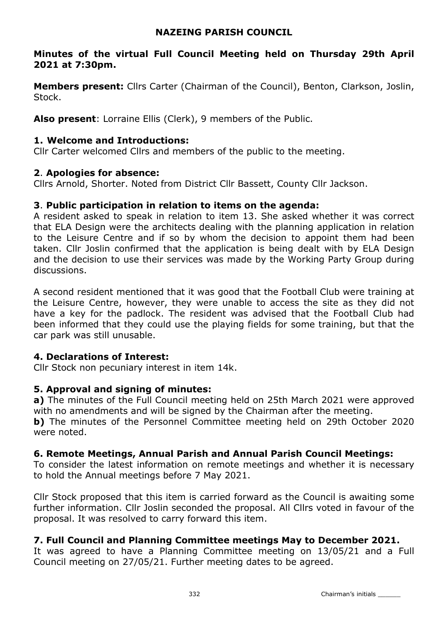## NAZEING PARISH COUNCIL

## Minutes of the virtual Full Council Meeting held on Thursday 29th April 2021 at 7:30pm.

**Members present:** Cllrs Carter (Chairman of the Council), Benton, Clarkson, Joslin, Stock.

Also present: Lorraine Ellis (Clerk), 9 members of the Public.

## 1. Welcome and Introductions:

Cllr Carter welcomed Cllrs and members of the public to the meeting.

## 2. Apologies for absence:

Cllrs Arnold, Shorter. Noted from District Cllr Bassett, County Cllr Jackson.

## 3. Public participation in relation to items on the agenda:

A resident asked to speak in relation to item 13. She asked whether it was correct that ELA Design were the architects dealing with the planning application in relation to the Leisure Centre and if so by whom the decision to appoint them had been taken. Cllr Joslin confirmed that the application is being dealt with by ELA Design and the decision to use their services was made by the Working Party Group during discussions.

A second resident mentioned that it was good that the Football Club were training at the Leisure Centre, however, they were unable to access the site as they did not have a key for the padlock. The resident was advised that the Football Club had been informed that they could use the playing fields for some training, but that the car park was still unusable.

## 4. Declarations of Interest:

Cllr Stock non pecuniary interest in item 14k.

# 5. Approval and signing of minutes:

a) The minutes of the Full Council meeting held on 25th March 2021 were approved with no amendments and will be signed by the Chairman after the meeting. **b)** The minutes of the Personnel Committee meeting held on 29th October 2020

were noted.

# 6. Remote Meetings, Annual Parish and Annual Parish Council Meetings:

To consider the latest information on remote meetings and whether it is necessary to hold the Annual meetings before 7 May 2021.

Cllr Stock proposed that this item is carried forward as the Council is awaiting some further information. Cllr Joslin seconded the proposal. All Cllrs voted in favour of the proposal. It was resolved to carry forward this item.

# 7. Full Council and Planning Committee meetings May to December 2021.

It was agreed to have a Planning Committee meeting on 13/05/21 and a Full Council meeting on 27/05/21. Further meeting dates to be agreed.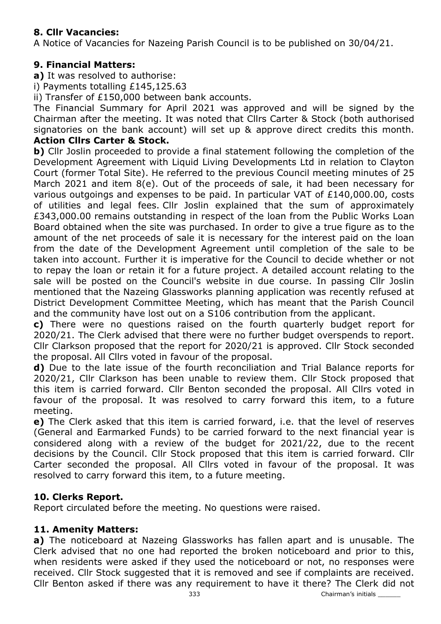# 8. Cllr Vacancies:

A Notice of Vacancies for Nazeing Parish Council is to be published on 30/04/21.

# 9. Financial Matters:

a) It was resolved to authorise:

i) Payments totalling £145,125.63

ii) Transfer of £150,000 between bank accounts.

The Financial Summary for April 2021 was approved and will be signed by the Chairman after the meeting. It was noted that Cllrs Carter & Stock (both authorised signatories on the bank account) will set up & approve direct credits this month.

# Action Cllrs Carter & Stock.

b) Cllr Joslin proceeded to provide a final statement following the completion of the Development Agreement with Liquid Living Developments Ltd in relation to Clayton Court (former Total Site). He referred to the previous Council meeting minutes of 25 March 2021 and item 8(e). Out of the proceeds of sale, it had been necessary for various outgoings and expenses to be paid. In particular VAT of £140,000.00, costs of utilities and legal fees. Cllr Joslin explained that the sum of approximately £343,000.00 remains outstanding in respect of the loan from the Public Works Loan Board obtained when the site was purchased. In order to give a true figure as to the amount of the net proceeds of sale it is necessary for the interest paid on the loan from the date of the Development Agreement until completion of the sale to be taken into account. Further it is imperative for the Council to decide whether or not to repay the loan or retain it for a future project. A detailed account relating to the sale will be posted on the Council's website in due course. In passing Cllr Joslin mentioned that the Nazeing Glassworks planning application was recently refused at District Development Committee Meeting, which has meant that the Parish Council and the community have lost out on a S106 contribution from the applicant.

c) There were no questions raised on the fourth quarterly budget report for 2020/21. The Clerk advised that there were no further budget overspends to report. Cllr Clarkson proposed that the report for 2020/21 is approved. Cllr Stock seconded the proposal. All Cllrs voted in favour of the proposal.

d) Due to the late issue of the fourth reconciliation and Trial Balance reports for 2020/21, Cllr Clarkson has been unable to review them. Cllr Stock proposed that this item is carried forward. Cllr Benton seconded the proposal. All Cllrs voted in favour of the proposal. It was resolved to carry forward this item, to a future meeting.

e) The Clerk asked that this item is carried forward, i.e. that the level of reserves (General and Earmarked Funds) to be carried forward to the next financial year is considered along with a review of the budget for 2021/22, due to the recent decisions by the Council. Cllr Stock proposed that this item is carried forward. Cllr Carter seconded the proposal. All Cllrs voted in favour of the proposal. It was resolved to carry forward this item, to a future meeting.

# 10. Clerks Report.

Report circulated before the meeting. No questions were raised.

# 11. Amenity Matters:

a) The noticeboard at Nazeing Glassworks has fallen apart and is unusable. The Clerk advised that no one had reported the broken noticeboard and prior to this, when residents were asked if they used the noticeboard or not, no responses were received. Cllr Stock suggested that it is removed and see if complaints are received. Cllr Benton asked if there was any requirement to have it there? The Clerk did not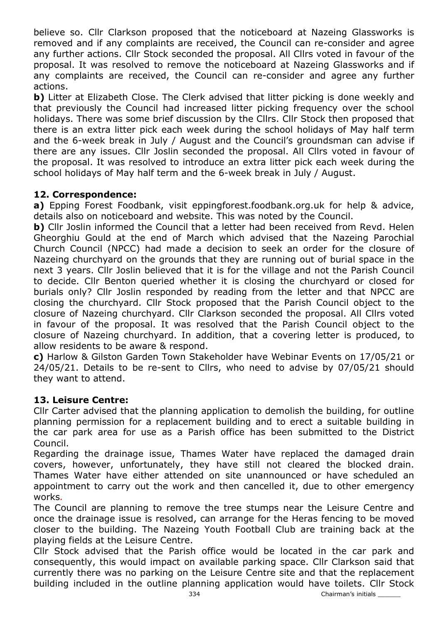believe so. Cllr Clarkson proposed that the noticeboard at Nazeing Glassworks is removed and if any complaints are received, the Council can re-consider and agree any further actions. Cllr Stock seconded the proposal. All Cllrs voted in favour of the proposal. It was resolved to remove the noticeboard at Nazeing Glassworks and if any complaints are received, the Council can re-consider and agree any further actions.

b) Litter at Elizabeth Close. The Clerk advised that litter picking is done weekly and that previously the Council had increased litter picking frequency over the school holidays. There was some brief discussion by the Cllrs. Cllr Stock then proposed that there is an extra litter pick each week during the school holidays of May half term and the 6-week break in July / August and the Council's groundsman can advise if there are any issues. Cllr Joslin seconded the proposal. All Cllrs voted in favour of the proposal. It was resolved to introduce an extra litter pick each week during the school holidays of May half term and the 6-week break in July / August.

# 12. Correspondence:

a) Epping Forest Foodbank, visit eppingforest.foodbank.org.uk for help & advice, details also on noticeboard and website. This was noted by the Council.

b) Cllr Joslin informed the Council that a letter had been received from Revd. Helen Gheorghiu Gould at the end of March which advised that the Nazeing Parochial Church Council (NPCC) had made a decision to seek an order for the closure of Nazeing churchyard on the grounds that they are running out of burial space in the next 3 years. Cllr Joslin believed that it is for the village and not the Parish Council to decide. Cllr Benton queried whether it is closing the churchyard or closed for burials only? Cllr Joslin responded by reading from the letter and that NPCC are closing the churchyard. Cllr Stock proposed that the Parish Council object to the closure of Nazeing churchyard. Cllr Clarkson seconded the proposal. All Cllrs voted in favour of the proposal. It was resolved that the Parish Council object to the closure of Nazeing churchyard. In addition, that a covering letter is produced, to allow residents to be aware & respond.

c) Harlow & Gilston Garden Town Stakeholder have Webinar Events on 17/05/21 or 24/05/21. Details to be re-sent to Cllrs, who need to advise by 07/05/21 should they want to attend.

## 13. Leisure Centre:

Cllr Carter advised that the planning application to demolish the building, for outline planning permission for a replacement building and to erect a suitable building in the car park area for use as a Parish office has been submitted to the District Council.

Regarding the drainage issue, Thames Water have replaced the damaged drain covers, however, unfortunately, they have still not cleared the blocked drain. Thames Water have either attended on site unannounced or have scheduled an appointment to carry out the work and then cancelled it, due to other emergency works.

The Council are planning to remove the tree stumps near the Leisure Centre and once the drainage issue is resolved, can arrange for the Heras fencing to be moved closer to the building. The Nazeing Youth Football Club are training back at the playing fields at the Leisure Centre.

Cllr Stock advised that the Parish office would be located in the car park and consequently, this would impact on available parking space. Cllr Clarkson said that currently there was no parking on the Leisure Centre site and that the replacement building included in the outline planning application would have toilets. Cllr Stock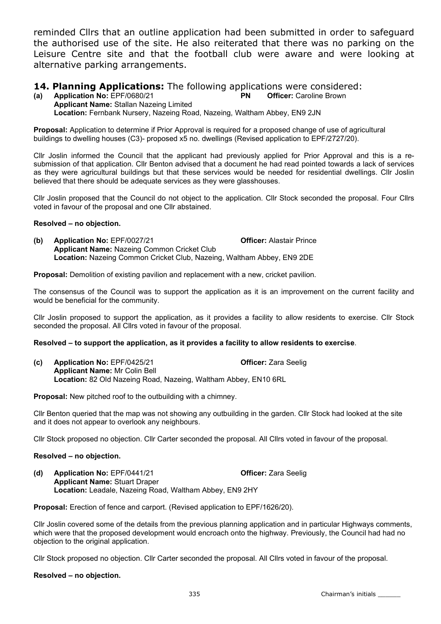reminded Cllrs that an outline application had been submitted in order to safeguard the authorised use of the site. He also reiterated that there was no parking on the Leisure Centre site and that the football club were aware and were looking at alternative parking arrangements.

# **14. Planning Applications:** The following applications were considered:<br>(a) Application No: EPF/0680/21 PN Officer: Caroline Brown

(a) Application No:  $EPF/0680/21$  PN Applicant Name: Stallan Nazeing Limited Location: Fernbank Nursery, Nazeing Road, Nazeing, Waltham Abbey, EN9 2JN

Proposal: Application to determine if Prior Approval is required for a proposed change of use of agricultural buildings to dwelling houses (C3)- proposed x5 no. dwellings (Revised application to EPF/2727/20).

Cllr Joslin informed the Council that the applicant had previously applied for Prior Approval and this is a resubmission of that application. Cllr Benton advised that a document he had read pointed towards a lack of services as they were agricultural buildings but that these services would be needed for residential dwellings. Cllr Joslin believed that there should be adequate services as they were glasshouses.

Cllr Joslin proposed that the Council do not object to the application. Cllr Stock seconded the proposal. Four Cllrs voted in favour of the proposal and one Cllr abstained.

#### Resolved – no objection.

(b) Application No: EPF/0027/21 Officer: Alastair Prince Applicant Name: Nazeing Common Cricket Club Location: Nazeing Common Cricket Club, Nazeing, Waltham Abbey, EN9 2DE

Proposal: Demolition of existing pavilion and replacement with a new, cricket pavilion.

The consensus of the Council was to support the application as it is an improvement on the current facility and would be beneficial for the community.

Cllr Joslin proposed to support the application, as it provides a facility to allow residents to exercise. Cllr Stock seconded the proposal. All Cllrs voted in favour of the proposal.

#### Resolved – to support the application, as it provides a facility to allow residents to exercise.

(c) Application No: EPF/0425/21 Officer: Zara Seelig Applicant Name: Mr Colin Bell Location: 82 Old Nazeing Road, Nazeing, Waltham Abbey, EN10 6RL

Proposal: New pitched roof to the outbuilding with a chimney.

Cllr Benton queried that the map was not showing any outbuilding in the garden. Cllr Stock had looked at the site and it does not appear to overlook any neighbours.

Cllr Stock proposed no objection. Cllr Carter seconded the proposal. All Cllrs voted in favour of the proposal.

#### Resolved – no objection.

(d) Application No: EPF/0441/21 **Officer:** Zara Seelig Applicant Name: Stuart Draper Location: Leadale, Nazeing Road, Waltham Abbey, EN9 2HY

Proposal: Erection of fence and carport. (Revised application to EPF/1626/20).

Cllr Joslin covered some of the details from the previous planning application and in particular Highways comments, which were that the proposed development would encroach onto the highway. Previously, the Council had had no objection to the original application.

Cllr Stock proposed no objection. Cllr Carter seconded the proposal. All Cllrs voted in favour of the proposal.

#### Resolved – no objection.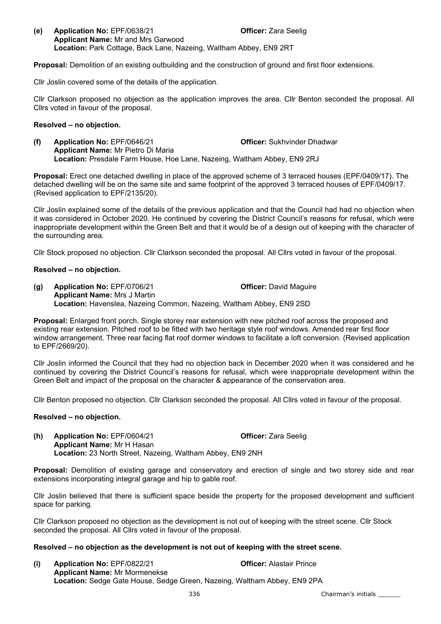(e) Application No: EPF/0638/21 Officer: Zara Seelig Applicant Name: Mr and Mrs Garwood Location: Park Cottage, Back Lane, Nazeing, Waltham Abbey, EN9 2RT

Proposal: Demolition of an existing outbuilding and the construction of ground and first floor extensions.

Cllr Joslin covered some of the details of the application.

Cllr Clarkson proposed no objection as the application improves the area. Cllr Benton seconded the proposal. All Cllrs voted in favour of the proposal.

#### Resolved – no objection.

(f) Application No: EPF/0646/21 **Officer:** Sukhvinder Dhadwar Applicant Name: Mr Pietro Di Maria Location: Presdale Farm House, Hoe Lane, Nazeing, Waltham Abbey, EN9 2RJ

Proposal: Erect one detached dwelling in place of the approved scheme of 3 terraced houses (EPF/0409/17). The detached dwelling will be on the same site and same footprint of the approved 3 terraced houses of EPF/0409/17. (Revised application to EPF/2135/20).

Cllr Joslin explained some of the details of the previous application and that the Council had had no objection when it was considered in October 2020. He continued by covering the District Council's reasons for refusal, which were inappropriate development within the Green Belt and that it would be of a design out of keeping with the character of the surrounding area.

Cllr Stock proposed no objection. Cllr Clarkson seconded the proposal. All Cllrs voted in favour of the proposal.

#### Resolved – no objection.

(g) Application No: EPF/0706/21 Officer: David Maguire Applicant Name: Mrs J Martin Location: Havenslea, Nazeing Common, Nazeing, Waltham Abbey, EN9 2SD

**Proposal:** Enlarged front porch. Single storey rear extension with new pitched roof across the proposed and existing rear extension. Pitched roof to be fitted with two heritage style roof windows. Amended rear first floor window arrangement. Three rear facing flat roof dormer windows to facilitate a loft conversion. (Revised application to EPF/2669/20).

Cllr Joslin informed the Council that they had no objection back in December 2020 when it was considered and he continued by covering the District Council's reasons for refusal, which were inappropriate development within the Green Belt and impact of the proposal on the character & appearance of the conservation area.

Cllr Benton proposed no objection. Cllr Clarkson seconded the proposal. All Cllrs voted in favour of the proposal.

#### Resolved – no objection.

(h) Application No: EPF/0604/21 Officer: Zara Seelig Applicant Name: Mr H Hasan Location: 23 North Street, Nazeing, Waltham Abbey, EN9 2NH

Proposal: Demolition of existing garage and conservatory and erection of single and two storey side and rear extensions incorporating integral garage and hip to gable roof.

Cllr Joslin believed that there is sufficient space beside the property for the proposed development and sufficient space for parking.

Cllr Clarkson proposed no objection as the development is not out of keeping with the street scene. Cllr Stock seconded the proposal. All Cllrs voted in favour of the proposal.

#### Resolved – no objection as the development is not out of keeping with the street scene.

(i) Application No: EPF/0822/21 Officer: Alastair Prince Applicant Name: Mr Mormenekse Location: Sedge Gate House, Sedge Green, Nazeing, Waltham Abbey, EN9 2PA

336 Chairman's initials \_\_\_\_\_\_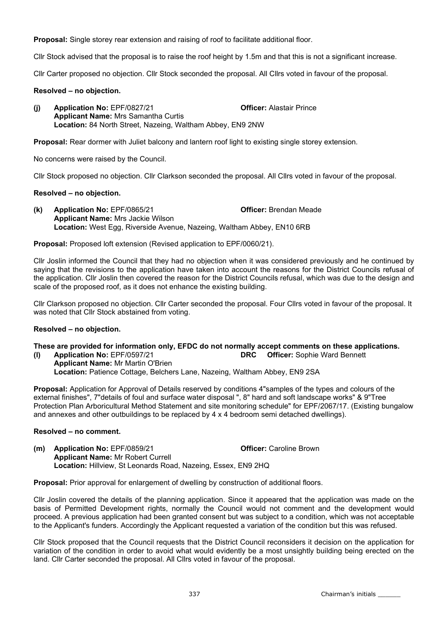Proposal: Single storey rear extension and raising of roof to facilitate additional floor.

Cllr Stock advised that the proposal is to raise the roof height by 1.5m and that this is not a significant increase.

Cllr Carter proposed no objection. Cllr Stock seconded the proposal. All Cllrs voted in favour of the proposal.

#### Resolved – no objection.

(j) Application No: EPF/0827/21 Officer: Alastair Prince Applicant Name: Mrs Samantha Curtis Location: 84 North Street, Nazeing, Waltham Abbey, EN9 2NW

Proposal: Rear dormer with Juliet balcony and lantern roof light to existing single storey extension.

No concerns were raised by the Council.

Cllr Stock proposed no objection. Cllr Clarkson seconded the proposal. All Cllrs voted in favour of the proposal.

#### Resolved – no objection.

(k) Application No: EPF/0865/21 Officer: Brendan Meade Applicant Name: Mrs Jackie Wilson Location: West Egg, Riverside Avenue, Nazeing, Waltham Abbey, EN10 6RB

Proposal: Proposed loft extension (Revised application to EPF/0060/21).

Cllr Joslin informed the Council that they had no objection when it was considered previously and he continued by saying that the revisions to the application have taken into account the reasons for the District Councils refusal of the application. Cllr Joslin then covered the reason for the District Councils refusal, which was due to the design and scale of the proposed roof, as it does not enhance the existing building.

Cllr Clarkson proposed no objection. Cllr Carter seconded the proposal. Four Cllrs voted in favour of the proposal. It was noted that Cllr Stock abstained from voting.

#### Resolved – no objection.

# These are provided for information only, EFDC do not normally accept comments on these applications.<br>(I) Application No: EPF/0597/21 **DRC** Officer: Sophie Ward Bennett

(I) Application No:  $EPF/0597/21$  DRC Applicant Name: Mr Martin O'Brien Location: Patience Cottage, Belchers Lane, Nazeing, Waltham Abbey, EN9 2SA

Proposal: Application for Approval of Details reserved by conditions 4"samples of the types and colours of the external finishes", 7"details of foul and surface water disposal ", 8" hard and soft landscape works" & 9"Tree Protection Plan Arboricultural Method Statement and site monitoring schedule" for EPF/2067/17. (Existing bungalow and annexes and other outbuildings to be replaced by 4 x 4 bedroom semi detached dwellings).

#### Resolved – no comment.

(m) Application No: EPF/0859/21 China Controller: Caroline Brown Applicant Name: Mr Robert Currell Location: Hillview, St Leonards Road, Nazeing, Essex, EN9 2HQ

Proposal: Prior approval for enlargement of dwelling by construction of additional floors.

Cllr Joslin covered the details of the planning application. Since it appeared that the application was made on the basis of Permitted Development rights, normally the Council would not comment and the development would proceed. A previous application had been granted consent but was subject to a condition, which was not acceptable to the Applicant's funders. Accordingly the Applicant requested a variation of the condition but this was refused.

Cllr Stock proposed that the Council requests that the District Council reconsiders it decision on the application for variation of the condition in order to avoid what would evidently be a most unsightly building being erected on the land. Cllr Carter seconded the proposal. All Cllrs voted in favour of the proposal.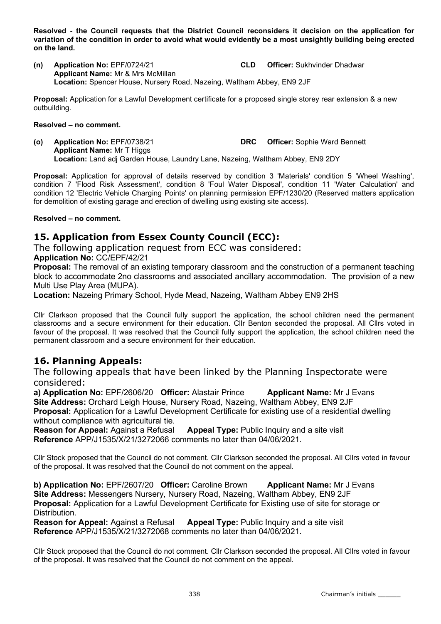Resolved - the Council requests that the District Council reconsiders it decision on the application for variation of the condition in order to avoid what would evidently be a most unsightly building being erected on the land.

(n) Application No: EPF/0724/21 CLD Officer: Sukhvinder Dhadwar Applicant Name: Mr & Mrs McMillan Location: Spencer House, Nursery Road, Nazeing, Waltham Abbey, EN9 2JF

Proposal: Application for a Lawful Development certificate for a proposed single storey rear extension & a new outbuilding.

#### Resolved – no comment.

(o) Application No: EPF/0738/21 DRC Officer: Sophie Ward Bennett Applicant Name: Mr T Higgs Location: Land adj Garden House, Laundry Lane, Nazeing, Waltham Abbey, EN9 2DY

Proposal: Application for approval of details reserved by condition 3 'Materials' condition 5 'Wheel Washing', condition 7 'Flood Risk Assessment', condition 8 'Foul Water Disposal', condition 11 'Water Calculation' and condition 12 'Electric Vehicle Charging Points' on planning permission EPF/1230/20 (Reserved matters application for demolition of existing garage and erection of dwelling using existing site access).

#### Resolved – no comment.

## 15. Application from Essex County Council (ECC):

The following application request from ECC was considered:

Application No: CC/EPF/42/21

**Proposal:** The removal of an existing temporary classroom and the construction of a permanent teaching block to accommodate 2no classrooms and associated ancillary accommodation. The provision of a new Multi Use Play Area (MUPA).

Location: Nazeing Primary School, Hyde Mead, Nazeing, Waltham Abbey EN9 2HS

Cllr Clarkson proposed that the Council fully support the application, the school children need the permanent classrooms and a secure environment for their education. Cllr Benton seconded the proposal. All Cllrs voted in favour of the proposal. It was resolved that the Council fully support the application, the school children need the permanent classroom and a secure environment for their education.

## 16. Planning Appeals:

The following appeals that have been linked by the Planning Inspectorate were considered:

a) Application No: EPF/2606/20 Officer: Alastair Prince Applicant Name: Mr J Evans Site Address: Orchard Leigh House, Nursery Road, Nazeing, Waltham Abbey, EN9 2JF Proposal: Application for a Lawful Development Certificate for existing use of a residential dwelling without compliance with agricultural tie.

Reason for Appeal: Against a Refusal Appeal Type: Public Inquiry and a site visit Reference APP/J1535/X/21/3272066 comments no later than 04/06/2021.

Cllr Stock proposed that the Council do not comment. Cllr Clarkson seconded the proposal. All Cllrs voted in favour of the proposal. It was resolved that the Council do not comment on the appeal.

b) Application No: EPF/2607/20 Officer: Caroline Brown Applicant Name: Mr J Evans Site Address: Messengers Nursery, Nursery Road, Nazeing, Waltham Abbey, EN9 2JF Proposal: Application for a Lawful Development Certificate for Existing use of site for storage or Distribution.

Reason for Appeal: Against a Refusal Appeal Type: Public Inquiry and a site visit Reference APP/J1535/X/21/3272068 comments no later than 04/06/2021.

Cllr Stock proposed that the Council do not comment. Cllr Clarkson seconded the proposal. All Cllrs voted in favour of the proposal. It was resolved that the Council do not comment on the appeal.